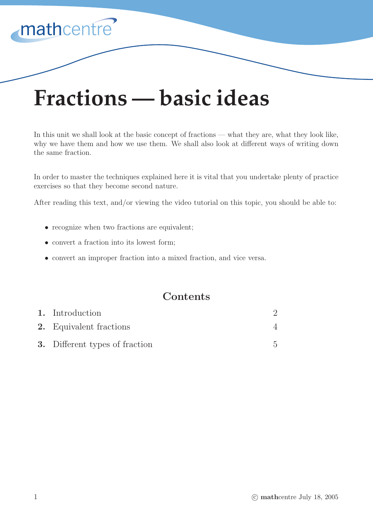# **Fractions — basic ideas**

In this unit we shall look at the basic concept of fractions — what they are, what they look like, why we have them and how we use them. We shall also look at different ways of writing down the same fraction.

In order to master the techniques explained here it is vital that you undertake plenty of practice exercises so that they become second nature.

After reading this text, and/or viewing the video tutorial on this topic, you should be able to:

- recognize when two fractions are equivalent;
- convert a fraction into its lowest form;

mathcentre

• convert an improper fraction into a mixed fraction, and vice versa.

## **Contents**

| 1. Introduction                       |  |
|---------------------------------------|--|
| <b>2.</b> Equivalent fractions        |  |
| <b>3.</b> Different types of fraction |  |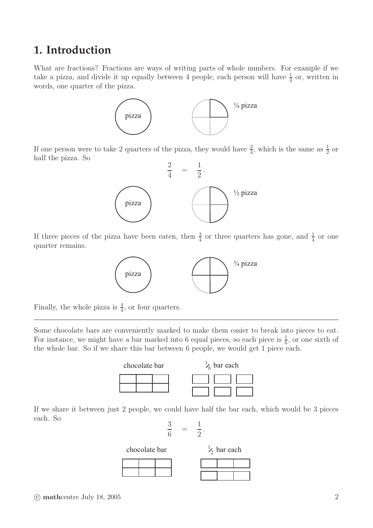## **1. Introduction**

What are fractions? Fractions are ways of writing parts of whole numbers. For example if we take a pizza, and divide it up equally between 4 people, each person will have  $\frac{1}{4}$  or, written in words, one quarter of the pizza.



If one person were to take 2 quarters of the pizza, they would have  $\frac{2}{4}$ , which is the same as  $\frac{1}{2}$  or half the pizza. So



If three pieces of the pizza have been eaten, then  $\frac{3}{4}$  or three quarters has gone, and  $\frac{1}{4}$  or one quarter remains.



Finally, the whole pizza is  $\frac{4}{4}$ , or four quarters.

Some chocolate bars are conveniently marked to make them easier to break into pieces to eat. For instance, we might have a bar marked into 6 equal pieces, so each piece is  $\frac{1}{6}$ , or one sixth of the whole bar. So if we share this bar between 6 people, we would get 1 piece each.



If we share it between just 2 people, we could have half the bar each, which would be 3 pieces each. So

$$
\frac{3}{6} = \frac{1}{2}
$$

chocolate bar  $\frac{1}{2}$  bar each

.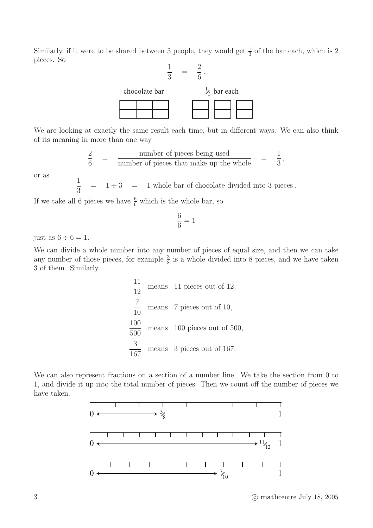Similarly, if it were to be shared between 3 people, they would get  $\frac{1}{3}$  of the bar each, which is 2 pieces. So



We are looking at exactly the same result each time, but in different ways. We can also think of its meaning in more than one way.

$$
\frac{2}{6} = \frac{\text{number of pieces being used}}{\text{number of pieces that make up the whole}} = \frac{1}{3},
$$

or as

1  $\frac{1}{3}$  = 1  $\div$  3 = 1 whole bar of chocolate divided into 3 pieces.

If we take all 6 pieces we have  $\frac{6}{6}$  which is the whole bar, so

$$
\frac{6}{6} = 1
$$

just as  $6 \div 6 = 1$ .

We can divide a whole number into any number of pieces of equal size, and then we can take any number of those pieces, for example  $\frac{3}{8}$  is a whole divided into 8 pieces, and we have taken 3 of them. Similarly

> 11 12 means 11 pieces out of 12, 7 10 means 7 pieces out of 10, 100 500 means 100 pieces out of 500, 3 167 means 3 pieces out of 167.

We can also represent fractions on a section of a number line. We take the section from 0 to 1, and divide it up into the total number of pieces. Then we count off the number of pieces we have taken.



3 c mathcentre July 18, 2005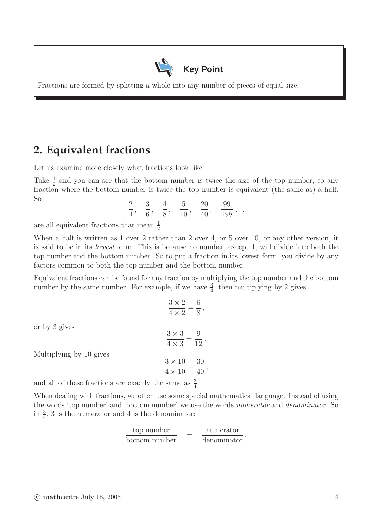

Fractions are formed by splitting a whole into any number of pieces of equal size.

## **2. Equivalent fractions**

Let us examine more closely what fractions look like.

Take  $\frac{1}{2}$  and you can see that the bottom number is twice the size of the top number, so any fraction where the bottom number is twice the top number is equivalent (the same as) a half. So

$$
\frac{2}{4}
$$
,  $\frac{3}{6}$ ,  $\frac{4}{8}$ ,  $\frac{5}{10}$ ,  $\frac{20}{40}$ ,  $\frac{99}{198}$ ...

are all equivalent fractions that mean  $\frac{1}{2}$ .

When a half is written as 1 over 2 rather than 2 over 4, or 5 over 10, or any other version, it is said to be in its lowest form. This is because no number, except 1, will divide into both the top number and the bottom number. So to put a fraction in its lowest form, you divide by any factors common to both the top number and the bottom number.

Equivalent fractions can be found for any fraction by multiplying the top number and the bottom number by the same number. For example, if we have  $\frac{3}{4}$ , then multiplying by 2 gives

|                                                                                                                           | $3 \times 2 = 6$<br>$\overline{4 \times 2} = \overline{8},$ |
|---------------------------------------------------------------------------------------------------------------------------|-------------------------------------------------------------|
| or by 3 gives                                                                                                             | $\frac{3\times3}{4\times3}=\frac{9}{12}.$                   |
| Multiplying by 10 gives                                                                                                   | $3 \times 10$ 30<br>$\frac{1}{4 \times 10} = \frac{1}{40}$  |
| $\sim 1 \cdot 11 \cdot 0.11 \cdot \ldots \cdot 0.1 \cdot 11 \cdot \ldots \cdot 11 \cdot 11 \cdot 11 \cdot \ldots \cdot 3$ |                                                             |

and all of these fractions are exactly the same as  $\frac{3}{4}$ .

When dealing with fractions, we often use some special mathematical language. Instead of using the words 'top number' and 'bottom number' we use the words numerator and denominator. So in  $\frac{3}{4}$ , 3 is the numerator and 4 is the denominator:

$$
\frac{\text{top number}}{\text{bottom number}} = \frac{\text{numerator}}{\text{denominator}}.
$$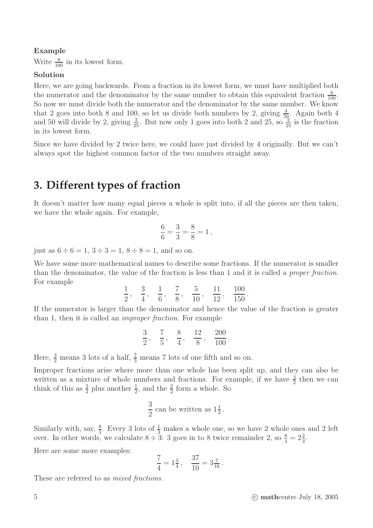## Example

Write  $\frac{8}{100}$  in its lowest form.

## Solution

Here, we are going backwards. From a fraction in its lowest form, we must have multiplied both the numerator and the denominator by the same number to obtain this equivalent fraction  $\frac{8}{100}$ . So now we must divide both the numerator and the denominator by the same number. We know that 2 goes into both 8 and 100, so let us divide both numbers by 2, giving  $\frac{4}{50}$ . Again both 4 and 50 will divide by 2, giving  $\frac{2}{25}$ . But now only 1 goes into both 2 and 25, so  $\frac{2}{25}$  is the fraction in its lowest form.

Since we have divided by 2 twice here, we could have just divided by 4 originally. But we can't always spot the highest common factor of the two numbers straight away.

## **3. Different types of fraction**

It doesn't matter how many equal pieces a whole is split into, if all the pieces are then taken, we have the whole again. For example,

$$
\frac{6}{6} = \frac{3}{3} = \frac{8}{8} = 1\,,
$$

just as  $6 \div 6 = 1$ ,  $3 \div 3 = 1$ ,  $8 \div 8 = 1$ , and so on.

We have some more mathematical names to describe some fractions. If the numerator is smaller than the denominator, the value of the fraction is less than 1 and it is called a proper fraction. For example

$$
\frac{1}{2}
$$
,  $\frac{3}{4}$ ,  $\frac{1}{6}$ ,  $\frac{7}{8}$ ,  $\frac{5}{10}$ ,  $\frac{11}{12}$ ,  $\frac{100}{150}$ .

If the numerator is larger than the denominator and hence the value of the fraction is greater than 1, then it is called an improper fraction. For example

$$
\frac{3}{2}
$$
,  $\frac{7}{5}$ ,  $\frac{8}{4}$ ,  $\frac{12}{8}$ ,  $\frac{200}{100}$ .

Here,  $\frac{3}{2}$  means 3 lots of a half,  $\frac{7}{5}$  means 7 lots of one fifth and so on.

Improper fractions arise where more than one whole has been split up, and they can also be written as a mixture of whole numbers and fractions. For example, if we have  $\frac{3}{2}$  then we can think of this as  $\frac{2}{2}$  plus another  $\frac{1}{2}$ , and the  $\frac{2}{2}$  form a whole. So

$$
\frac{3}{2}
$$
 can be written as  $1\frac{1}{2}$ .

Similarly with, say,  $\frac{8}{3}$ . Every 3 lots of  $\frac{1}{3}$  makes a whole one, so we have 2 whole ones and 2 left over. In other words, we calculate  $8 \div 3$ : 3 goes in to 8 twice remainder 2, so  $\frac{8}{3} = 2\frac{2}{3}$ .

Here are some more examples:

$$
\frac{7}{4} = 1\frac{3}{4}, \quad \frac{37}{10} = 3\frac{7}{10}.
$$

These are referred to as mixed fractions.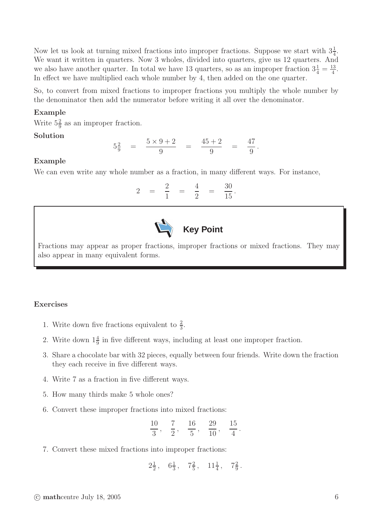Now let us look at turning mixed fractions into improper fractions. Suppose we start with  $3\frac{1}{4}$ . We want it written in quarters. Now 3 wholes, divided into quarters, give us 12 quarters. And we also have another quarter. In total we have 13 quarters, so as an improper fraction  $3\frac{1}{4} = \frac{13}{4}$ <u>.3</u><br>4 In effect we have multiplied each whole number by 4, then added on the one quarter.

So, to convert from mixed fractions to improper fractions you multiply the whole number by the denominator then add the numerator before writing it all over the denominator.

### Example

Write  $5\frac{2}{9}$  as an improper fraction.

#### Solution

$$
5\frac{2}{9}
$$
 =  $\frac{5 \times 9 + 2}{9}$  =  $\frac{45 + 2}{9}$  =  $\frac{47}{9}$ .

#### Example

We can even write any whole number as a fraction, in many different ways. For instance,

$$
2 = \frac{2}{1} = \frac{4}{2} = \frac{30}{15}.
$$



Fractions may appear as proper fractions, improper fractions or mixed fractions. They may also appear in many equivalent forms.

#### Exercises

- 1. Write down five fractions equivalent to  $\frac{2}{3}$ .
- 2. Write down  $1\frac{4}{9}$  in five different ways, including at least one improper fraction.
- 3. Share a chocolate bar with 32 pieces, equally between four friends. Write down the fraction they each receive in five different ways.
- 4. Write 7 as a fraction in five different ways.
- 5. How many thirds make 5 whole ones?
- 6. Convert these improper fractions into mixed fractions:

$$
\frac{10}{3}
$$
,  $\frac{7}{2}$ ,  $\frac{16}{5}$ ,  $\frac{29}{10}$ ,  $\frac{15}{4}$ .

7. Convert these mixed fractions into improper fractions:

$$
2\tfrac{1}{2}\,,\quad 6\tfrac{1}{3}\,,\quad 7\tfrac{2}{5}\,,\quad 11\tfrac{1}{4}\,,\quad 7\tfrac{2}{9}\,.
$$